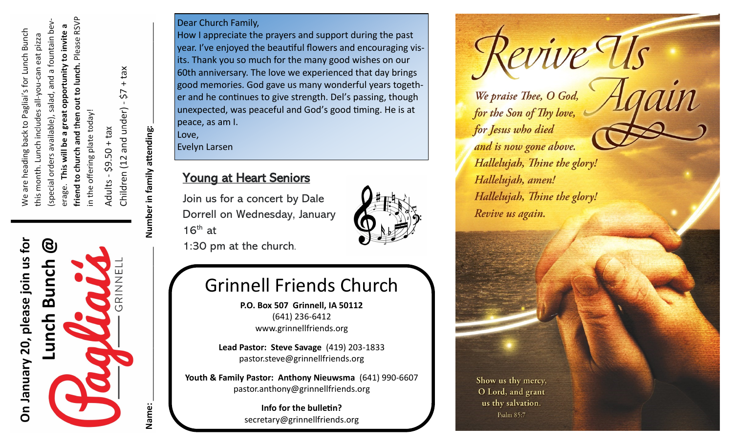out to lunch. Please RSVP salad, and a fountain bev a great opportunity to invite a We are heading back to Pagliai's for Lunch Bunch this month. Lunch includes all-you-can eat pizza in the offering plate today! friend to church and then (special orders available), This will be erage.

 $50 + tax$  $59.$ Adults

Children (12 and under) -  $$7 + tax$ 

Number in family attending:

Name:

## On January 20, please join us for ල Bunch NNK<br>R Lunch

Dear Church Family,

How I appreciate the prayers and support during the past year. I've enjoyed the beautiful flowers and encouraging visits. Thank you so much for the many good wishes on our 60th anniversary. The love we experienced that day brings good memories. God gave us many wonderful years together and he continues to give strength. Del's passing, though unexpected, was peaceful and God's good timing. He is at peace, as am I.

Love, Evelyn Larsen

## Young at Heart Seniors

Join us for a concert by Dale Dorrell on Wednesday, January  $16<sup>th</sup>$  at



1:30 pm at the church.

## Grinnell Friends Church

**P.O. Box 507 Grinnell, IA 50112** (641) 236-6412 www.grinnellfriends.org

**Lead Pastor: Steve Savage** (419) 203-1833 pastor.steve@grinnellfriends.org

**Youth & Family Pastor: Anthony Nieuwsma** (641) 990-6607 pastor.anthony@grinnellfriends.org

> **Info for the bulletin?**  secretary@grinnellfriends.org

evive Us We praise Thee, O God, for the Son of Thy love, for Jesus who died and is now gone above. Hallelujah, Thine the glory! Hallelujah, amen! Hallelujah, Thine the glory! Revive us again.